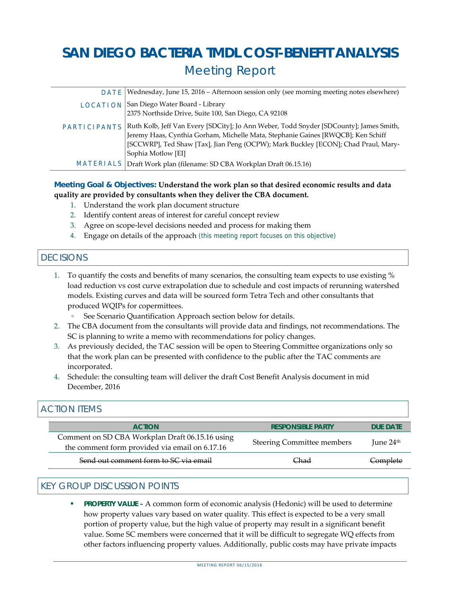# **SAN DIEGO BACTERIA TMDL COST-BENEFIT ANALYSIS**  Meeting Report

| DATE                | Wednesday, June 15, 2016 – Afternoon session only (see morning meeting notes elsewhere)                                                                                                                                                                                                |
|---------------------|----------------------------------------------------------------------------------------------------------------------------------------------------------------------------------------------------------------------------------------------------------------------------------------|
| <b>LOCATION</b>     | San Diego Water Board - Library<br>2375 Northside Drive, Suite 100, San Diego, CA 92108                                                                                                                                                                                                |
| <b>PARTICIPANTS</b> | Ruth Kolb, Jeff Van Every [SDCity]; Jo Ann Weber, Todd Snyder [SDCounty]; James Smith,<br>Jeremy Haas, Cynthia Gorham, Michelle Mata, Stephanie Gaines [RWQCB]; Ken Schiff<br>[SCCWRP], Ted Shaw [Tax], Jian Peng (OCPW); Mark Buckley [ECON]; Chad Praul, Mary-<br>Sophia Motlow [EI] |
| <b>MATERIALS</b>    | Draft Work plan (filename: SD CBA Workplan Draft 06.15.16)                                                                                                                                                                                                                             |

#### **Meeting Goal & Objectives: Understand the work plan so that desired economic results and data quality are provided by consultants when they deliver the CBA document.**

- 1. Understand the work plan document structure
- 2. Identify content areas of interest for careful concept review
- 3. Agree on scope‐level decisions needed and process for making them
- 4. Engage on details of the approach (this meeting report focuses on this objective)

## **DECISIONS**

- 1. To quantify the costs and benefits of many scenarios, the consulting team expects to use existing % load reduction vs cost curve extrapolation due to schedule and cost impacts of rerunning watershed models. Existing curves and data will be sourced form Tetra Tech and other consultants that produced WQIPs for copermittees.
	- See Scenario Quantification Approach section below for details.
- 2. The CBA document from the consultants will provide data and findings, not recommendations. The SC is planning to write a memo with recommendations for policy changes.
- 3. As previously decided, the TAC session will be open to Steering Committee organizations only so that the work plan can be presented with confidence to the public after the TAC comments are incorporated.
- 4. Schedule: the consulting team will deliver the draft Cost Benefit Analysis document in mid December, 2016

## ACTION ITEMS

| <b>ACTION</b>                                                                                     | <b>RESPONSIBLE PARTY</b>          | <b>DUF DATE</b>     |
|---------------------------------------------------------------------------------------------------|-----------------------------------|---------------------|
| Comment on SD CBA Workplan Draft 06.15.16 using<br>the comment form provided via email on 6.17.16 | <b>Steering Committee members</b> | Iune $24th$         |
| Send out comment form to SC via email                                                             | Chad                              | <del>Complete</del> |

#### KEY GROUP DISCUSSION POINTS

 **PROPERTY VALUE –** A common form of economic analysis (Hedonic) will be used to determine how property values vary based on water quality. This effect is expected to be a very small portion of property value, but the high value of property may result in a significant benefit value. Some SC members were concerned that it will be difficult to segregate WQ effects from other factors influencing property values. Additionally, public costs may have private impacts